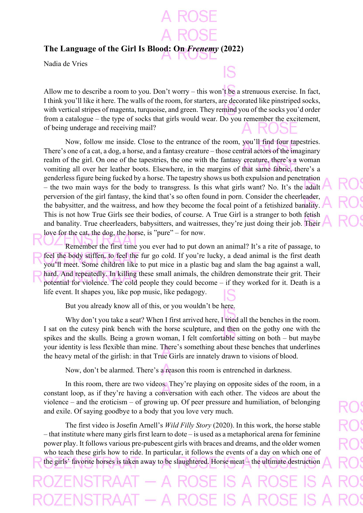**The Language of the Girl Is Blood: On** *Frenemy* **(2022)**

Nadia de Vries

Allow me to describe a room to you. Don't worry – this won't be a strenuous exercise. In fact, I think you'll like it here. The walls of the room, for starters, are decorated like pinstriped socks, with vertical stripes of magenta, turquoise, and green. They remind you of the socks you'd order from a catalogue – the type of socks that girls would wear. Do you remember the excitement, of being underage and receiving mail?

Now, follow me inside. Close to the entrance of the room, you'll find four tapestries. There's one of a cat, a dog, a horse, and a fantasy creature – those central actors of the imaginary realm of the girl. On one of the tapestries, the one with the fantasy creature, there's a woman vomiting all over her leather boots. Elsewhere, in the margins of that same fabric, there's a genderless figure being fucked by a horse. The tapestry shows us both expulsion and penetration – the two main ways for the body to transgress. Is this what girls want? No. It's the adult perversion of the girl fantasy, the kind that's so often found in porn. Consider the cheerleader, the babysitter, and the waitress, and how they become the focal point of a fetishized banality. This is not how True Girls see their bodies, of course. A True Girl is a stranger to both fetish and banality. True cheerleaders, babysitters, and waitresses, they're just doing their job. Their love for the cat, the dog, the horse, is "pure" – for now.

Remember the first time you ever had to put down an animal? It's a rite of passage, to feel the body stiffen, to feel the fur go cold. If you're lucky, a dead animal is the first death you'll meet. Some children like to put mice in a plastic bag and slam the bag against a wall, hard. And repeatedly. In killing these small animals, the children demonstrate their grit. Their potential for violence. The cold people they could become – if they worked for it. Death is a life event. It shapes you, like pop music, like pedagogy.

But you already know all of this, or you wouldn't be here.

Why don't you take a seat? When I first arrived here, I tried all the benches in the room. I sat on the cutesy pink bench with the horse sculpture, and then on the gothy one with the spikes and the skulls. Being a grown woman, I felt comfortable sitting on both – but maybe your identity is less flexible than mine. There's something about these benches that underlines the heavy metal of the girlish: in that True Girls are innately drawn to visions of blood.

Now, don't be alarmed. There's a reason this room is entrenched in darkness.

In this room, there are two videos. They're playing on opposite sides of the room, in a constant loop, as if they're having a conversation with each other. The videos are about the violence – and the eroticism – of growing up. Of peer pressure and humiliation, of belonging and exile. Of saying goodbye to a body that you love very much.

The first video is Josefin Arnell's *Wild Filly Story* (2020). In this work, the horse stable – that institute where many girls first learn to dote – is used as a metaphorical arena for feminine power play. It follows various pre-pubescent girls with braces and dreams, and the older women who teach these girls how to ride. In particular, it follows the events of a day on which one of the girls' favorite horses is taken away to be slaughtered. Horse meat – the ultimate destruction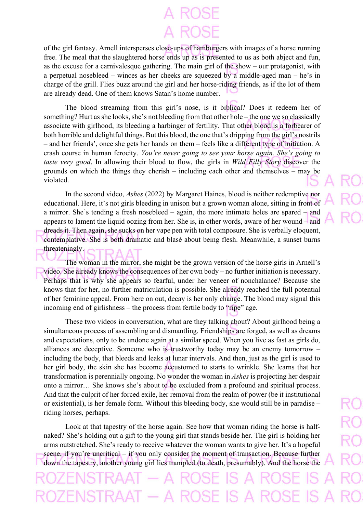of the girl fantasy. Arnell intersperses close-ups of hamburgers with images of a horse running free. The meal that the slaughtered horse ends up as is presented to us as both abject and fun, as the excuse for a carnivalesque gathering. The main girl of the show – our protagonist, with a perpetual nosebleed – winces as her cheeks are squeezed by a middle-aged man – he's in charge of the grill. Flies buzz around the girl and her horse-riding friends, as if the lot of them are already dead. One of them knows Satan's home number.

The blood streaming from this girl's nose, is it biblical? Does it redeem her of something? Hurt as she looks, she's not bleeding from that other hole – the one we so classically associate with girlhood, its bleeding a harbinger of fertility. That other blood is a forbearer of both horrible and delightful things. But this blood, the one that's dripping from the girl's nostrils – and her friends', once she gets her hands on them – feels like a different type of initiation. A crash course in human ferocity. *You're never going to see your horse again. She's going to taste very good*. In allowing their blood to flow, the girls in *Wild Filly Story* discover the grounds on which the things they cherish – including each other and themselves – may be violated.

In the second video, *Ashes* (2022) by Margaret Haines, blood is neither redemptive nor educational. Here, it's not girls bleeding in unison but a grown woman alone, sitting in front of a mirror. She's tending a fresh nosebleed – again, the more intimate holes are spared – and appears to lament the liquid oozing from her. She is, in other words, aware of her wound – and dreads it. Then again, she sucks on her vape pen with total composure. She is verbally eloquent, contemplative. She is both dramatic and blasé about being flesh. Meanwhile, a sunset burns threateningly.

The woman in the mirror, she might be the grown version of the horse girls in Arnell's video. She already knows the consequences of her own body – no further initiation is necessary. Perhaps that is why she appears so fearful, under her veneer of nonchalance? Because she knows that for her, no further matriculation is possible. She already reached the full potential of her feminine appeal. From here on out, decay is her only change. The blood may signal this incoming end of girlishness – the process from fertile body to "ripe" age.

These two videos in conversation, what are they talking about? About girlhood being a simultaneous process of assembling and dismantling. Friendships are forged, as well as dreams and expectations, only to be undone again at a similar speed. When you live as fast as girls do, alliances are deceptive. Someone who is trustworthy today may be an enemy tomorrow – including the body, that bleeds and leaks at lunar intervals. And then, just as the girl is used to her girl body, the skin she has become accustomed to starts to wrinkle. She learns that her transformation is perennially ongoing. No wonder the woman in *Ashes* is projecting her despair onto a mirror… She knows she's about to be excluded from a profound and spiritual process. And that the culprit of her forced exile, her removal from the realm of power (be it institutional or existential), is her female form. Without this bleeding body, she would still be in paradise – riding horses, perhaps.

Look at that tapestry of the horse again. See how that woman riding the horse is halfnaked? She's holding out a gift to the young girl that stands beside her. The girl is holding her arms outstretched. She's ready to receive whatever the woman wants to give her. It's a hopeful scene, if you're uncritical – if you only consider the moment of transaction. Because further down the tapestry, another young girl lies trampled (to death, presumably). And the horse the